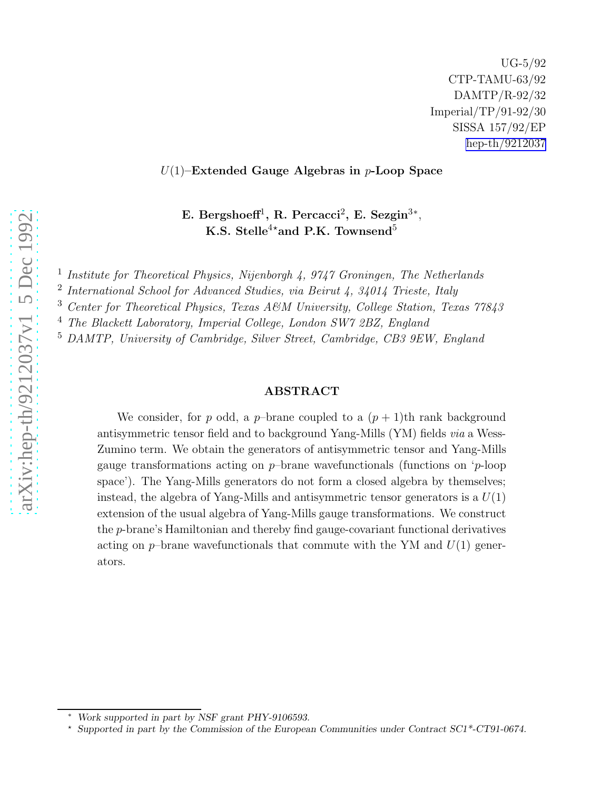# $U(1)$ –Extended Gauge Algebras in  $p$ -Loop Space

E. Bergshoeff<sup>1</sup>, R. Percacci<sup>2</sup>, E. Sezgin<sup>3\*</sup>, K.S. Stelle<sup>4\*</sup>and P.K. Townsend<sup>5</sup>

<sup>1</sup> Institute for Theoretical Physics, Nijenborgh 4, 9747 Groningen, The Netherlands

<sup>2</sup> International School for Advanced Studies, via Beirut 4, 34014 Trieste, Italy

<sup>3</sup> Center for Theoretical Physics, Texas A&M University, College Station, Texas 77843

<sup>4</sup> The Blackett Laboratory, Imperial College, London SW7 2BZ, England

<sup>5</sup> DAMTP, University of Cambridge, Silver Street, Cambridge, CB3 9EW, England

# ABSTRACT

We consider, for p odd, a p-brane coupled to a  $(p+1)$ th rank background antisymmetric tensor field and to background Yang-Mills (YM) fields via a Wess-Zumino term. We obtain the generators of antisymmetric tensor and Yang-Mills gauge transformations acting on p–brane wavefunctionals (functions on ' p-loop space'). The Yang-Mills generators do not form a closed algebra by themselves; instead, the algebra of Yang-Mills and antisymmetric tensor generators is a  $U(1)$ extension of the usual algebra of Yang-Mills gauge transformations. We construct the p-brane's Hamiltonian and thereby find gauge-covariant functional derivatives acting on  $p$ -brane wavefunctionals that commute with the YM and  $U(1)$  generators.

Work supported in part by NSF grant PHY-9106593.

<sup>⋆</sup> Supported in part by the Commission of the European Communities under Contract SC1\*-CT91-0674.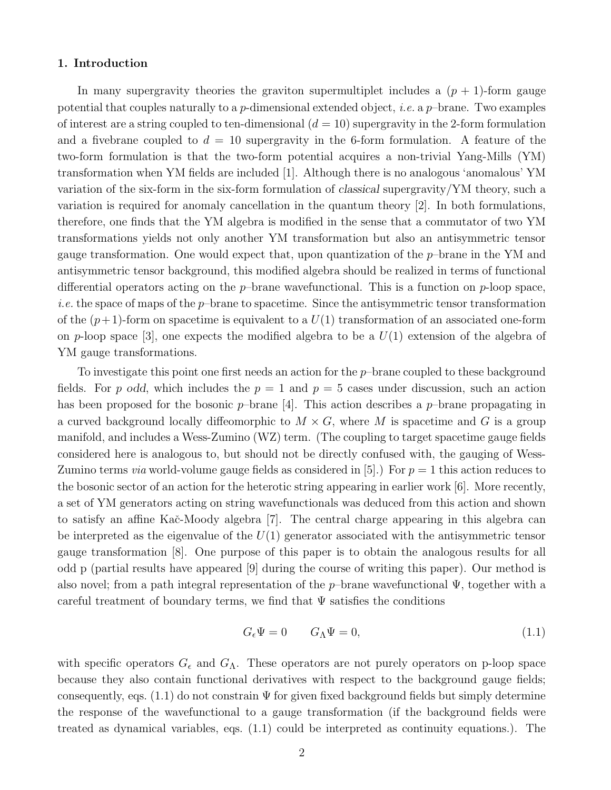### 1. Introduction

In many supergravity theories the graviton supermultiplet includes a  $(p + 1)$ -form gauge potential that couples naturally to a p-dimensional extended object, *i.e.* a p-brane. Two examples of interest are a string coupled to ten-dimensional  $(d = 10)$  supergravity in the 2-form formulation and a fivebrane coupled to  $d = 10$  supergravity in the 6-form formulation. A feature of the two-form formulation is that the two-form potential acquires a non-trivial Yang-Mills (YM) transformation when YM fields are included [1]. Although there is no analogous 'anomalous' YM variation of the six-form in the six-form formulation of classical supergravity/YM theory, such a variation is required for anomaly cancellation in the quantum theory [2]. In both formulations, therefore, one finds that the YM algebra is modified in the sense that a commutator of two YM transformations yields not only another YM transformation but also an antisymmetric tensor gauge transformation. One would expect that, upon quantization of the p–brane in the YM and antisymmetric tensor background, this modified algebra should be realized in terms of functional differential operators acting on the  $p$ -brane wavefunctional. This is a function on  $p$ -loop space, *i.e.* the space of maps of the  $p$ -brane to spacetime. Since the antisymmetric tensor transformation of the  $(p+1)$ -form on spacetime is equivalent to a  $U(1)$  transformation of an associated one-form on p-loop space [3], one expects the modified algebra to be a  $U(1)$  extension of the algebra of YM gauge transformations.

To investigate this point one first needs an action for the  $p$ -brane coupled to these background fields. For p odd, which includes the  $p = 1$  and  $p = 5$  cases under discussion, such an action has been proposed for the bosonic  $p$ -brane [4]. This action describes a  $p$ -brane propagating in a curved background locally diffeomorphic to  $M \times G$ , where M is spacetime and G is a group manifold, and includes a Wess-Zumino (WZ) term. (The coupling to target spacetime gauge fields considered here is analogous to, but should not be directly confused with, the gauging of Wess-Zumino terms *via* world-volume gauge fields as considered in [5].) For  $p = 1$  this action reduces to the bosonic sector of an action for the heterotic string appearing in earlier work [6]. More recently, a set of YM generators acting on string wavefunctionals was deduced from this action and shown to satisfy an affine Kač-Moody algebra [7]. The central charge appearing in this algebra can be interpreted as the eigenvalue of the  $U(1)$  generator associated with the antisymmetric tensor gauge transformation [8]. One purpose of this paper is to obtain the analogous results for all odd p (partial results have appeared [9] during the course of writing this paper). Our method is also novel; from a path integral representation of the p–brane wavefunctional  $\Psi$ , together with a careful treatment of boundary terms, we find that  $\Psi$  satisfies the conditions

$$
G_{\epsilon}\Psi = 0 \qquad G_{\Lambda}\Psi = 0, \tag{1.1}
$$

with specific operators  $G_{\epsilon}$  and  $G_{\Lambda}$ . These operators are not purely operators on p-loop space because they also contain functional derivatives with respect to the background gauge fields; consequently, eqs.  $(1.1)$  do not constrain  $\Psi$  for given fixed background fields but simply determine the response of the wavefunctional to a gauge transformation (if the background fields were treated as dynamical variables, eqs. (1.1) could be interpreted as continuity equations.). The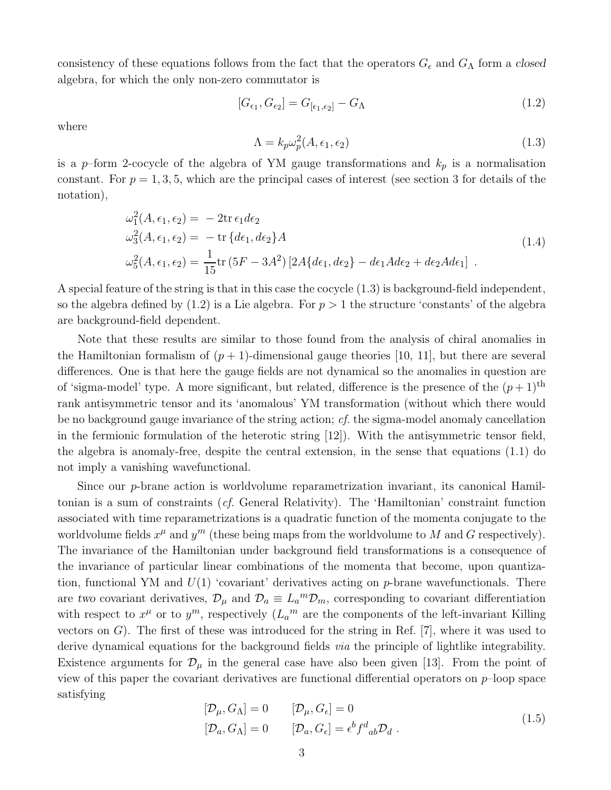consistency of these equations follows from the fact that the operators  $G_{\epsilon}$  and  $G_{\Lambda}$  form a closed algebra, for which the only non-zero commutator is

$$
[G_{\epsilon_1}, G_{\epsilon_2}] = G_{[\epsilon_1, \epsilon_2]} - G_{\Lambda}
$$
\n(1.2)

where

$$
\Lambda = k_p \omega_p^2(A, \epsilon_1, \epsilon_2) \tag{1.3}
$$

is a p–form 2-cocycle of the algebra of YM gauge transformations and  $k_p$  is a normalisation constant. For  $p = 1, 3, 5$ , which are the principal cases of interest (see section 3 for details of the notation),

$$
\omega_1^2(A, \epsilon_1, \epsilon_2) = -2\text{tr}\,\epsilon_1 d\epsilon_2
$$
  
\n
$$
\omega_3^2(A, \epsilon_1, \epsilon_2) = -\text{tr}\,\{d\epsilon_1, d\epsilon_2\}A
$$
  
\n
$$
\omega_5^2(A, \epsilon_1, \epsilon_2) = \frac{1}{15}\text{tr}\,(5F - 3A^2)\left[2A\{d\epsilon_1, d\epsilon_2\} - d\epsilon_1 Ad\epsilon_2 + d\epsilon_2 Ad\epsilon_1\right]
$$
\n(1.4)

A special feature of the string is that in this case the cocycle (1.3) is background-field independent, so the algebra defined by  $(1.2)$  is a Lie algebra. For  $p > 1$  the structure 'constants' of the algebra are background-field dependent.

Note that these results are similar to those found from the analysis of chiral anomalies in the Hamiltonian formalism of  $(p + 1)$ -dimensional gauge theories [10, 11], but there are several differences. One is that here the gauge fields are not dynamical so the anomalies in question are of 'sigma-model' type. A more significant, but related, difference is the presence of the  $(p+1)$ <sup>th</sup> rank antisymmetric tensor and its 'anomalous' YM transformation (without which there would be no background gauge invariance of the string action; cf. the sigma-model anomaly cancellation in the fermionic formulation of the heterotic string [12]). With the antisymmetric tensor field, the algebra is anomaly-free, despite the central extension, in the sense that equations (1.1) do not imply a vanishing wavefunctional.

Since our p-brane action is worldvolume reparametrization invariant, its canonical Hamiltonian is a sum of constraints (cf. General Relativity). The 'Hamiltonian' constraint function associated with time reparametrizations is a quadratic function of the momenta conjugate to the worldvolume fields  $x^{\mu}$  and  $y^m$  (these being maps from the worldvolume to M and G respectively). The invariance of the Hamiltonian under background field transformations is a consequence of the invariance of particular linear combinations of the momenta that become, upon quantization, functional YM and  $U(1)$  'covariant' derivatives acting on p-brane wavefunctionals. There are two covariant derivatives,  $\mathcal{D}_{\mu}$  and  $\mathcal{D}_{a} \equiv L_{a}{}^{m} \mathcal{D}_{m}$ , corresponding to covariant differentiation with respect to  $x^{\mu}$  or to  $y^{m}$ , respectively  $(L_{a}^{m})$  are the components of the left-invariant Killing vectors on  $G$ ). The first of these was introduced for the string in Ref. [7], where it was used to derive dynamical equations for the background fields *via* the principle of lightlike integrability. Existence arguments for  $\mathcal{D}_{\mu}$  in the general case have also been given [13]. From the point of view of this paper the covariant derivatives are functional differential operators on  $p$ -loop space satisfying

$$
[\mathcal{D}_{\mu}, G_{\Lambda}] = 0 \qquad [\mathcal{D}_{\mu}, G_{\epsilon}] = 0
$$
  

$$
[\mathcal{D}_{a}, G_{\Lambda}] = 0 \qquad [\mathcal{D}_{a}, G_{\epsilon}] = \epsilon^{b} f^{d}{}_{ab} \mathcal{D}_{d} .
$$
 (1.5)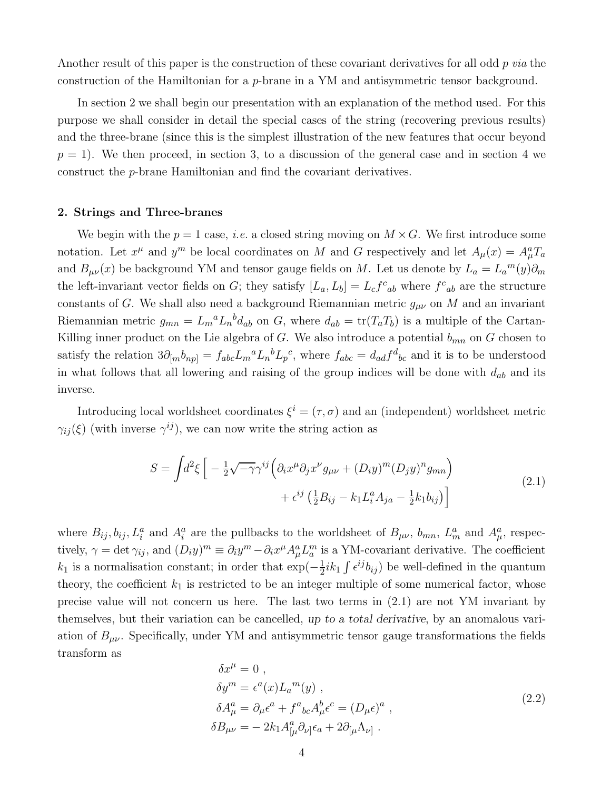Another result of this paper is the construction of these covariant derivatives for all odd  $p$  via the construction of the Hamiltonian for a p-brane in a YM and antisymmetric tensor background.

In section 2 we shall begin our presentation with an explanation of the method used. For this purpose we shall consider in detail the special cases of the string (recovering previous results) and the three-brane (since this is the simplest illustration of the new features that occur beyond  $p = 1$ . We then proceed, in section 3, to a discussion of the general case and in section 4 we construct the p-brane Hamiltonian and find the covariant derivatives.

### 2. Strings and Three-branes

We begin with the  $p = 1$  case, *i.e.* a closed string moving on  $M \times G$ . We first introduce some notation. Let  $x^{\mu}$  and  $y^m$  be local coordinates on M and G respectively and let  $A_{\mu}(x) = A_{\mu}^a T_a$ and  $B_{\mu\nu}(x)$  be background YM and tensor gauge fields on M. Let us denote by  $L_a = L_a^{\{m\}}(y)\partial_m$ the left-invariant vector fields on G; they satisfy  $[L_a, L_b] = L_c f^c{}_{ab}$  where  $f^c{}_{ab}$  are the structure constants of G. We shall also need a background Riemannian metric  $g_{\mu\nu}$  on M and an invariant Riemannian metric  $g_{mn} = L_m{}^a L_n{}^b d_{ab}$  on G, where  $d_{ab} = \text{tr}(T_a T_b)$  is a multiple of the Cartan-Killing inner product on the Lie algebra of  $G$ . We also introduce a potential  $b_{mn}$  on  $G$  chosen to satisfy the relation  $3\partial_{[m}b_{np]} = f_{abc}L_m{}^aL_n{}^bL_p{}^c$ , where  $f_{abc} = d_{ad}f^d{}_{bc}$  and it is to be understood in what follows that all lowering and raising of the group indices will be done with  $d_{ab}$  and its inverse.

Introducing local worldsheet coordinates  $\xi^{i} = (\tau, \sigma)$  and an (independent) worldsheet metric  $\gamma_{ij}(\xi)$  (with inverse  $\gamma^{ij}$ ), we can now write the string action as

$$
S = \int d^2\xi \left[ -\frac{1}{2} \sqrt{-\gamma} \gamma^{ij} \left( \partial_i x^\mu \partial_j x^\nu g_{\mu\nu} + (D_i y)^m (D_j y)^n g_{mn} \right) \right. \\ \left. + \epsilon^{ij} \left( \frac{1}{2} B_{ij} - k_1 L_i^a A_{ja} - \frac{1}{2} k_1 b_{ij} \right) \right]
$$
\n(2.1)

where  $B_{ij}, b_{ij}, L_i^a$  and  $A_i^a$  are the pullbacks to the worldsheet of  $B_{\mu\nu}$ ,  $b_{mn}$ ,  $L_m^a$  and  $A_\mu^a$ , respectively,  $\gamma = \det \gamma_{ij}$ , and  $(D_i y)^m \equiv \partial_i y^m - \partial_i x^\mu A_\mu^a L_a^m$  is a YM-covariant derivative. The coefficient  $k_1$  is a normalisation constant; in order that  $\exp(-\frac{1}{2})$  $\frac{1}{2}ik_1 \int \epsilon^{ij} b_{ij}$  be well-defined in the quantum theory, the coefficient  $k_1$  is restricted to be an integer multiple of some numerical factor, whose precise value will not concern us here. The last two terms in (2.1) are not YM invariant by themselves, but their variation can be cancelled, up to a total derivative, by an anomalous variation of  $B_{\mu\nu}$ . Specifically, under YM and antisymmetric tensor gauge transformations the fields transform as

$$
\delta x^{\mu} = 0 ,
$$
  
\n
$$
\delta y^{m} = \epsilon^{a}(x)L_{a}{}^{m}(y) ,
$$
  
\n
$$
\delta A_{\mu}^{a} = \partial_{\mu}\epsilon^{a} + f^{a}{}_{bc}A_{\mu}^{b}\epsilon^{c} = (D_{\mu}\epsilon)^{a} ,
$$
  
\n
$$
\delta B_{\mu\nu} = -2k_{1}A_{[\mu}^{a}\partial_{\nu]}\epsilon_{a} + 2\partial_{[\mu}\Lambda_{\nu]} .
$$
\n(2.2)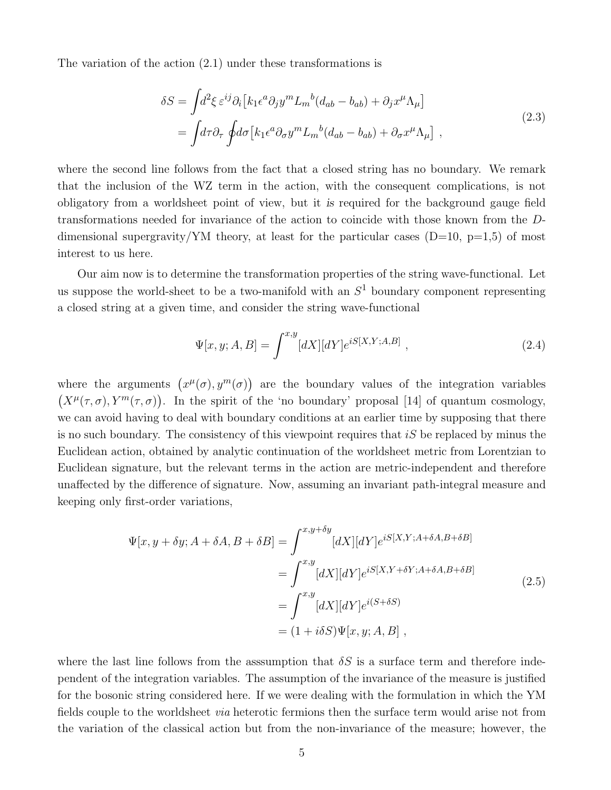The variation of the action (2.1) under these transformations is

$$
\delta S = \int d^2 \xi \, \varepsilon^{ij} \partial_i \left[ k_1 \epsilon^a \partial_j y^m L_m{}^b (d_{ab} - b_{ab}) + \partial_j x^\mu \Lambda_\mu \right]
$$
  
= 
$$
\int d\tau \partial_\tau \int d\sigma \left[ k_1 \epsilon^a \partial_\sigma y^m L_m{}^b (d_{ab} - b_{ab}) + \partial_\sigma x^\mu \Lambda_\mu \right],
$$
 (2.3)

where the second line follows from the fact that a closed string has no boundary. We remark that the inclusion of the WZ term in the action, with the consequent complications, is not obligatory from a worldsheet point of view, but it is required for the background gauge field transformations needed for invariance of the action to coincide with those known from the Ddimensional supergravity/YM theory, at least for the particular cases  $(D=10, p=1.5)$  of most interest to us here.

Our aim now is to determine the transformation properties of the string wave-functional. Let us suppose the world-sheet to be a two-manifold with an  $S<sup>1</sup>$  boundary component representing a closed string at a given time, and consider the string wave-functional

$$
\Psi[x, y; A, B] = \int^{x, y} [dX][dY] e^{iS[X, Y; A, B]}, \qquad (2.4)
$$

where the arguments  $(x^{\mu}(\sigma), y^m(\sigma))$  are the boundary values of the integration variables  $(X^{\mu}(\tau,\sigma), Y^m(\tau,\sigma))$ . In the spirit of the 'no boundary' proposal [14] of quantum cosmology, we can avoid having to deal with boundary conditions at an earlier time by supposing that there is no such boundary. The consistency of this viewpoint requires that  $iS$  be replaced by minus the Euclidean action, obtained by analytic continuation of the worldsheet metric from Lorentzian to Euclidean signature, but the relevant terms in the action are metric-independent and therefore unaffected by the difference of signature. Now, assuming an invariant path-integral measure and keeping only first-order variations,

$$
\Psi[x, y + \delta y; A + \delta A, B + \delta B] = \int_{a}^{x, y + \delta y} [dX][dY] e^{iS[X, Y; A + \delta A, B + \delta B]} \n= \int_{a}^{x, y} [dX][dY] e^{iS[X, Y + \delta Y; A + \delta A, B + \delta B]} \n= \int_{a}^{x, y} [dX][dY] e^{i(S + \delta S)} \n= (1 + i\delta S) \Psi[x, y; A, B] ,
$$
\n(2.5)

where the last line follows from the assumption that  $\delta S$  is a surface term and therefore independent of the integration variables. The assumption of the invariance of the measure is justified for the bosonic string considered here. If we were dealing with the formulation in which the YM fields couple to the worldsheet via heterotic fermions then the surface term would arise not from the variation of the classical action but from the non-invariance of the measure; however, the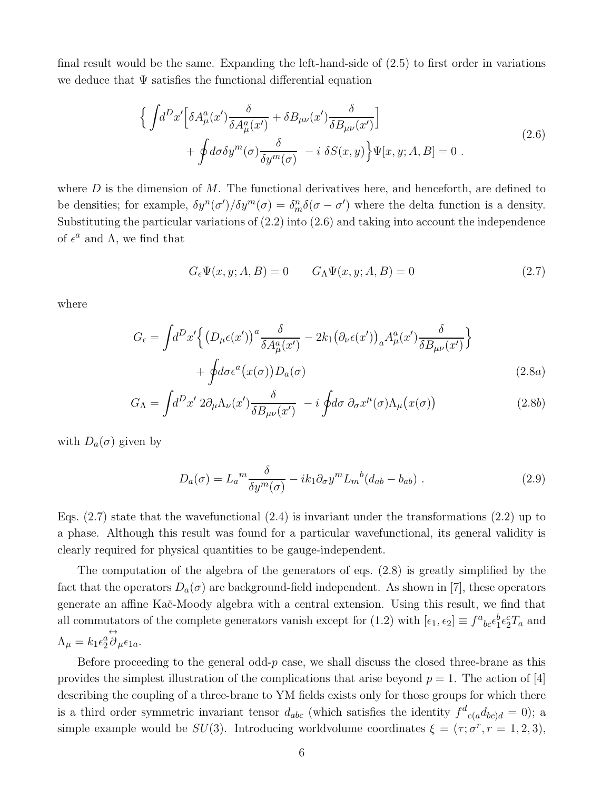final result would be the same. Expanding the left-hand-side of (2.5) to first order in variations we deduce that  $\Psi$  satisfies the functional differential equation

$$
\begin{split}\n\Big\{\int d^D x' \Big[\delta A^a_\mu(x') \frac{\delta}{\delta A^a_\mu(x')} + \delta B_{\mu\nu}(x') \frac{\delta}{\delta B_{\mu\nu}(x')} \Big] \\
&+ \oint d\sigma \delta y^m(\sigma) \frac{\delta}{\delta y^m(\sigma)} - i \delta S(x, y)\Big\} \Psi[x, y; A, B] = 0 .\n\end{split} \tag{2.6}
$$

where  $D$  is the dimension of  $M$ . The functional derivatives here, and henceforth, are defined to be densities; for example,  $\delta y^n(\sigma')/\delta y^m(\sigma) = \delta_m^n \delta(\sigma - \sigma')$  where the delta function is a density. Substituting the particular variations of (2.2) into (2.6) and taking into account the independence of  $\epsilon^a$  and  $\Lambda$ , we find that

$$
G_{\epsilon}\Psi(x,y;A,B) = 0 \t G_{\Lambda}\Psi(x,y;A,B) = 0 \t (2.7)
$$

where

$$
G_{\epsilon} = \int d^{D}x' \Big\{ \big(D_{\mu}\epsilon(x')\big)^{a} \frac{\delta}{\delta A_{\mu}^{a}(x')} - 2k_{1} \big(\partial_{\nu}\epsilon(x')\big)_{a} A_{\mu}^{a}(x') \frac{\delta}{\delta B_{\mu\nu}(x')} \Big\} + \oint d\sigma \epsilon^{a}(x(\sigma)) D_{a}(\sigma)
$$
\n(2.8a)

$$
G_{\Lambda} = \int d^{D}x' \ 2\partial_{\mu} \Lambda_{\nu}(x') \frac{\delta}{\delta B_{\mu\nu}(x')} - i \oint d\sigma \ \partial_{\sigma}x^{\mu}(\sigma) \Lambda_{\mu}(x(\sigma)) \tag{2.8b}
$$

with  $D_a(\sigma)$  given by

$$
D_a(\sigma) = L_a^m \frac{\delta}{\delta y^m(\sigma)} - i k_1 \partial_\sigma y^m L_m{}^b (d_{ab} - b_{ab}) \tag{2.9}
$$

Eqs.  $(2.7)$  state that the wavefunctional  $(2.4)$  is invariant under the transformations  $(2.2)$  up to a phase. Although this result was found for a particular wavefunctional, its general validity is clearly required for physical quantities to be gauge-independent.

The computation of the algebra of the generators of eqs. (2.8) is greatly simplified by the fact that the operators  $D_a(\sigma)$  are background-field independent. As shown in [7], these operators generate an affine Kaˇc-Moody algebra with a central extension. Using this result, we find that all commutators of the complete generators vanish except for (1.2) with  $[\epsilon_1, \epsilon_2] \equiv f^a{}_{bc} \epsilon_1^b \epsilon_2^c T_a$  and  $\Lambda_{\mu} = k_1 \epsilon_2^a$ ↔  $\partial_\mu \epsilon_{1a}$ .

Before proceeding to the general odd- $p$  case, we shall discuss the closed three-brane as this provides the simplest illustration of the complications that arise beyond  $p = 1$ . The action of [4] describing the coupling of a three-brane to YM fields exists only for those groups for which there is a third order symmetric invariant tensor  $d_{abc}$  (which satisfies the identity  $f^d_{e(a}d_{bc)d} = 0$ ); a simple example would be  $SU(3)$ . Introducing worldvolume coordinates  $\xi = (\tau; \sigma^r, r = 1, 2, 3)$ ,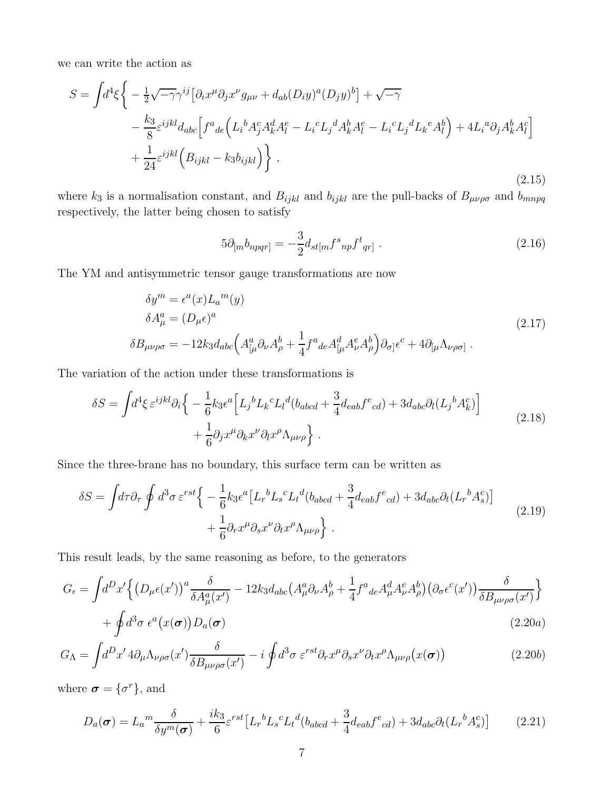we can write the action as

$$
S = \int d^4\xi \left\{ -\frac{1}{2}\sqrt{-\gamma}\gamma^{ij} \left[ \partial_i x^\mu \partial_j x^\nu g_{\mu\nu} + d_{ab} (D_i y)^a (D_j y)^b \right] + \sqrt{-\gamma} \right.\n\left. - \frac{k_3}{8} \varepsilon^{ijkl} d_{abc} \left[ f^a{}_{de} \left( L_i{}^b A_j^c A_k^d A_l^e - L_i{}^c L_j{}^d A_k^b A_l^e - L_i{}^c L_j{}^d L_k{}^e A_l^b \right) + 4 L_i{}^a \partial_j A_k^b A_l^c \right] \right.\n\left. + \frac{1}{24} \varepsilon^{ijkl} \left( B_{ijkl} - k_3 b_{ijkl} \right) \right\},
$$
\n(2.15)

where  $k_3$  is a normalisation constant, and  $B_{ijkl}$  and  $b_{ijkl}$  are the pull-backs of  $B_{\mu\nu\rho\sigma}$  and  $b_{mnpq}$ respectively, the latter being chosen to satisfy

$$
5\partial_{[m}b_{npqr]} = -\frac{3}{2}d_{st[m}f^{s}_{np}f^{t}_{qr]} \tag{2.16}
$$

The YM and antisymmetric tensor gauge transformations are now

$$
\delta y^{m} = \epsilon^{a}(x)L_{a}{}^{m}(y)
$$
  
\n
$$
\delta A_{\mu}^{a} = (D_{\mu}\epsilon)^{a}
$$
  
\n
$$
\delta B_{\mu\nu\rho\sigma} = -12k_{3}d_{abc}\left(A_{[\mu}^{a}\partial_{\nu}A_{\rho}^{b} + \frac{1}{4}f^{a}{}_{de}A_{[\mu}^{d}A_{\nu}^{e}A_{\rho}^{b}]\partial_{\sigma}]\epsilon^{c} + 4\partial_{[\mu}\Lambda_{\nu\rho\sigma]}.
$$
\n(2.17)

The variation of the action under these transformations is

$$
\delta S = \int d^4 \xi \,\varepsilon^{ijkl} \partial_i \Big\{ -\frac{1}{6} k_3 \varepsilon^a \Big[ L_j{}^b L_k{}^c L_l{}^d (b_{abcd} + \frac{3}{4} d_{eab} f^e_{\phantom{e}cd}) + 3 d_{abc} \partial_l (L_j{}^b A_k^c) \Big] + \frac{1}{6} \partial_j x^\mu \partial_k x^\nu \partial_l x^\rho \Lambda_{\mu\nu\rho} \Big\} . \tag{2.18}
$$

Since the three-brane has no boundary, this surface term can be written as

$$
\delta S = \int d\tau \partial_{\tau} \oint d^{3} \sigma \,\varepsilon^{rst} \Big\{ -\frac{1}{6} k_{3} \epsilon^{a} \left[ L_{r}{}^{b} L_{s}{}^{c} L_{t}{}^{d} (b_{abcd} + \frac{3}{4} d_{eab} f^{e}_{cd}) + 3 d_{abc} \partial_{t} (L_{r}{}^{b} A_{s}^{c}) \right] \Big\} + \frac{1}{6} \partial_{r} x^{\mu} \partial_{s} x^{\nu} \partial_{t} x^{\rho} \Lambda_{\mu\nu\rho} \Big\} . \tag{2.19}
$$

This result leads, by the same reasoning as before, to the generators

$$
G_{\epsilon} = \int d^{D}x' \Big\{ \left( D_{\mu}\epsilon(x') \right)^{a} \frac{\delta}{\delta A_{\mu}^{a}(x')} - 12k_{3}d_{abc} \left( A_{\mu}^{a}\partial_{\nu}A_{\rho}^{b} + \frac{1}{4}f^{a}{}_{de}A_{\mu}^{d}A_{\nu}^{e}A_{\rho}^{b} \right) \left( \partial_{\sigma}\epsilon^{c}(x') \right) \frac{\delta}{\delta B_{\mu\nu\rho\sigma}(x')} \Big\} + \oint d^{3}\sigma \epsilon^{a}(x(\sigma)) D_{a}(\sigma)
$$
\n(2.20a)

$$
G_{\Lambda} = \int d^{D}x' \, 4\partial_{\mu} \Lambda_{\nu\rho\sigma}(x') \frac{\delta}{\delta B_{\mu\nu\rho\sigma}(x')} - i \oint d^{3}\sigma \, \varepsilon^{rst} \partial_{r}x^{\mu} \partial_{s}x^{\nu} \partial_{t}x^{\rho} \Lambda_{\mu\nu\rho}(x(\sigma)) \tag{2.20b}
$$

where  $\boldsymbol{\sigma} = {\sigma^r}$ , and

$$
D_a(\boldsymbol{\sigma}) = L_a{}^m \frac{\delta}{\delta y^m(\boldsymbol{\sigma})} + \frac{ik_3}{6} \varepsilon^{rst} \left[ L_r{}^b L_s{}^c L_t{}^d (b_{abcd} + \frac{3}{4} d_{eab} f^e{}_{cd}) + 3 d_{abc} \partial_t (L_r{}^b A_s^c) \right] \tag{2.21}
$$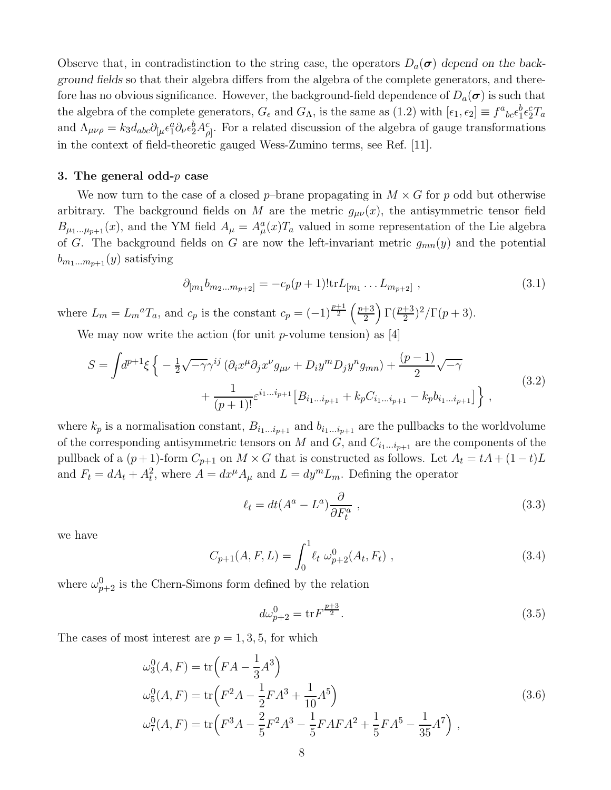Observe that, in contradistinction to the string case, the operators  $D_a(\sigma)$  depend on the background fields so that their algebra differs from the algebra of the complete generators, and therefore has no obvious significance. However, the background-field dependence of  $D_a(\sigma)$  is such that the algebra of the complete generators,  $G_{\epsilon}$  and  $G_{\Lambda}$ , is the same as (1.2) with  $[\epsilon_1, \epsilon_2] \equiv f^a{}_{bc} \epsilon_1^b \epsilon_2^c T_a$ and  $\Lambda_{\mu\nu\rho} = k_3 d_{abc} \partial_{[\mu} \epsilon_1^a \partial_{\nu} \epsilon_2^b A_{\rho]}^c$ . For a related discussion of the algebra of gauge transformations in the context of field-theoretic gauged Wess-Zumino terms, see Ref. [11].

## 3. The general odd- $p$  case

We now turn to the case of a closed p–brane propagating in  $M \times G$  for p odd but otherwise arbitrary. The background fields on M are the metric  $g_{\mu\nu}(x)$ , the antisymmetric tensor field  $B_{\mu_1...\mu_{p+1}}(x)$ , and the YM field  $A_{\mu} = A_{\mu}^a(x)T_a$  valued in some representation of the Lie algebra of G. The background fields on G are now the left-invariant metric  $g_{mn}(y)$  and the potential  $b_{m_1...m_{n+1}}(y)$  satisfying

$$
\partial_{[m_1} b_{m_2...m_{p+2}]} = -c_p(p+1)! \text{tr} L_{[m_1} \dots L_{m_{p+2}]}, \qquad (3.1)
$$

where  $L_m = L_m^a T_a$ , and  $c_p$  is the constant  $c_p = (-1)^{\frac{p+1}{2}} \left(\frac{p+3}{2}\right)$  $\frac{+3}{2}\left(\frac{p+3}{2}\right)^2/\Gamma(p+3).$ 

We may now write the action (for unit  $p$ -volume tension) as [4]

$$
S = \int d^{p+1}\xi \left\{ -\frac{1}{2}\sqrt{-\gamma}\gamma^{ij} \left( \partial_i x^{\mu} \partial_j x^{\nu} g_{\mu\nu} + D_i y^m D_j y^n g_{mn} \right) + \frac{(p-1)}{2}\sqrt{-\gamma} + \frac{1}{(p+1)!} \varepsilon^{i_1...i_{p+1}} \left[ B_{i_1...i_{p+1}} + k_p C_{i_1...i_{p+1}} - k_p b_{i_1...i_{p+1}} \right] \right\},
$$
\n(3.2)

where  $k_p$  is a normalisation constant,  $B_{i_1...i_{p+1}}$  and  $b_{i_1...i_{p+1}}$  are the pullbacks to the worldvolume of the corresponding antisymmetric tensors on M and G, and  $C_{i_1...i_{p+1}}$  are the components of the pullback of a  $(p+1)$ -form  $C_{p+1}$  on  $M \times G$  that is constructed as follows. Let  $A_t = tA + (1-t)L$ and  $F_t = dA_t + A_t^2$ , where  $A = dx^{\mu} A_{\mu}$  and  $L = dy^m L_m$ . Defining the operator

$$
\ell_t = dt(A^a - L^a) \frac{\partial}{\partial F_t^a} \tag{3.3}
$$

we have

$$
C_{p+1}(A, F, L) = \int_0^1 \ell_t \, \omega_{p+2}^0(A_t, F_t) \;, \tag{3.4}
$$

where  $\omega_{p+2}^0$  is the Chern-Simons form defined by the relation

$$
d\omega_{p+2}^0 = \text{tr} F^{\frac{p+3}{2}}.
$$
\n(3.5)

The cases of most interest are  $p = 1, 3, 5$ , for which

$$
\omega_3^0(A, F) = \text{tr}\left(FA - \frac{1}{3}A^3\right)
$$
  
\n
$$
\omega_5^0(A, F) = \text{tr}\left(F^2A - \frac{1}{2}FA^3 + \frac{1}{10}A^5\right)
$$
  
\n
$$
\omega_7^0(A, F) = \text{tr}\left(F^3A - \frac{2}{5}F^2A^3 - \frac{1}{5}FAFA^2 + \frac{1}{5}FA^5 - \frac{1}{35}A^7\right),
$$
\n(3.6)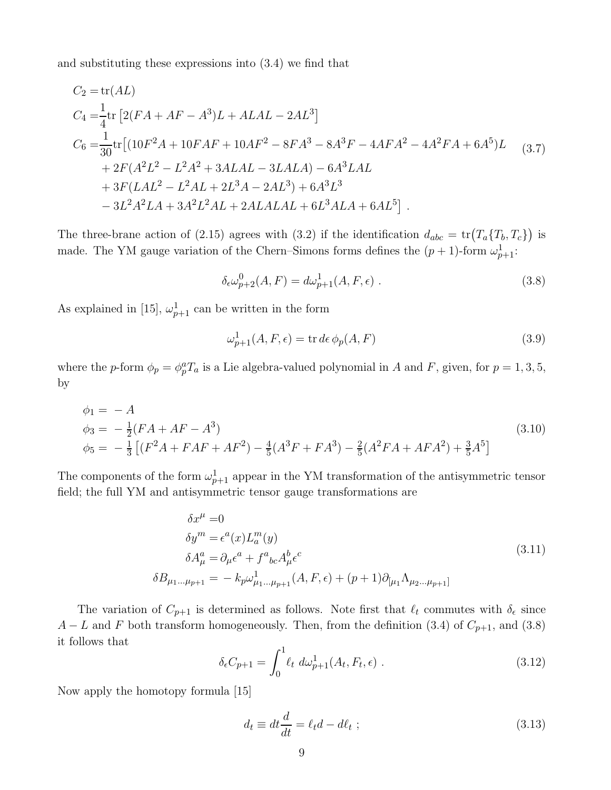and substituting these expressions into (3.4) we find that

$$
C_2 = \text{tr}(AL)
$$
  
\n
$$
C_4 = \frac{1}{4} \text{tr} [2(FA + AF - A^3)L + ALAL - 2AL^3]
$$
  
\n
$$
C_6 = \frac{1}{30} \text{tr} [(10F^2A + 10FAF + 10AF^2 - 8FA^3 - 8A^3F - 4AFA^2 - 4A^2FA + 6A^5)L
$$
  
\n
$$
+ 2F(A^2L^2 - L^2A^2 + 3ALAL - 3LALA) - 6A^3LAL
$$
  
\n
$$
+ 3F(LAL^2 - L^2AL + 2L^3A - 2AL^3) + 6A^3L^3
$$
  
\n
$$
- 3L^2A^2LA + 3A^2L^2AL + 2ALALAL + 6L^3ALA + 6AL^5].
$$
 (3.7)

The three-brane action of (2.15) agrees with (3.2) if the identification  $d_{abc} = \text{tr}(T_a \{T_b, T_c\})$  is made. The YM gauge variation of the Chern–Simons forms defines the  $(p+1)$ -form  $\omega_{p+1}^1$ :

$$
\delta_{\epsilon}\omega_{p+2}^0(A,F) = d\omega_{p+1}^1(A,F,\epsilon) \tag{3.8}
$$

As explained in [15],  $\omega_{p+1}^1$  can be written in the form

$$
\omega_{p+1}^1(A, F, \epsilon) = \text{tr}\,d\epsilon\,\phi_p(A, F) \tag{3.9}
$$

where the p-form  $\phi_p = \phi_p^a T_a$  is a Lie algebra-valued polynomial in A and F, given, for  $p = 1, 3, 5$ , by

$$
\begin{aligned}\n\phi_1 &= -A \\
\phi_3 &= -\frac{1}{2}(FA + AF - A^3) \\
\phi_5 &= -\frac{1}{3}\left[ (F^2A + FAF + AF^2) - \frac{4}{5}(A^3F + FA^3) - \frac{2}{5}(A^2FA + AFA^2) + \frac{3}{5}A^5 \right]\n\end{aligned} \tag{3.10}
$$

The components of the form  $\omega_{p+1}^1$  appear in the YM transformation of the antisymmetric tensor field; the full YM and antisymmetric tensor gauge transformations are

$$
\delta x^{\mu} = 0
$$
  
\n
$$
\delta y^{m} = \epsilon^{a}(x)L_{a}^{m}(y)
$$
  
\n
$$
\delta A_{\mu}^{a} = \partial_{\mu}\epsilon^{a} + f^{a}{}_{bc}A_{\mu}^{b}\epsilon^{c}
$$
  
\n
$$
\delta B_{\mu_{1}...\mu_{p+1}} = -k_{p}\omega_{\mu_{1}...\mu_{p+1}}^{1}(A, F, \epsilon) + (p+1)\partial_{[\mu_{1}}\Lambda_{\mu_{2}...\mu_{p+1}]}
$$
\n(3.11)

The variation of  $C_{p+1}$  is determined as follows. Note first that  $\ell_t$  commutes with  $\delta_{\epsilon}$  since  $A - L$  and F both transform homogeneously. Then, from the definition (3.4) of  $C_{p+1}$ , and (3.8) it follows that

$$
\delta_{\epsilon} C_{p+1} = \int_0^1 \ell_t \ d\omega_{p+1}^1(A_t, F_t, \epsilon) \ . \tag{3.12}
$$

Now apply the homotopy formula [15]

$$
d_t \equiv dt \frac{d}{dt} = \ell_t d - d\ell_t ; \qquad (3.13)
$$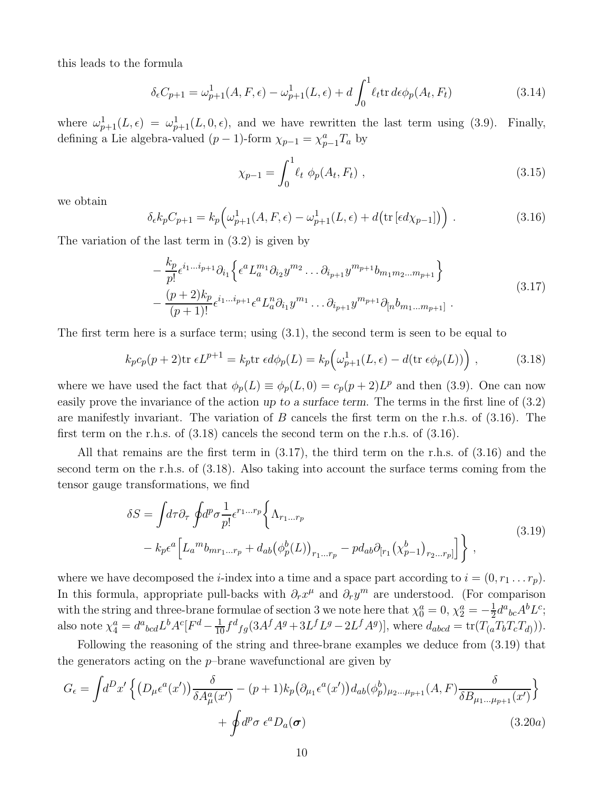this leads to the formula

$$
\delta_{\epsilon} C_{p+1} = \omega_{p+1}^1(A, F, \epsilon) - \omega_{p+1}^1(L, \epsilon) + d \int_0^1 \ell_t \text{tr } d\epsilon \phi_p(A_t, F_t)
$$
\n(3.14)

where  $\omega_{p+1}^1(L,\epsilon) = \omega_{p+1}^1(L,0,\epsilon)$ , and we have rewritten the last term using (3.9). Finally, defining a Lie algebra-valued  $(p-1)$ -form  $\chi_{p-1} = \chi_{p-1}^a T_a$  by

$$
\chi_{p-1} = \int_0^1 \ell_t \, \phi_p(A_t, F_t) \,, \tag{3.15}
$$

we obtain

$$
\delta_{\epsilon} k_p C_{p+1} = k_p \left( \omega_{p+1}^1(A, F, \epsilon) - \omega_{p+1}^1(L, \epsilon) + d \left( \text{tr} \left[ \epsilon d \chi_{p-1} \right] \right) \right) . \tag{3.16}
$$

The variation of the last term in (3.2) is given by

$$
-\frac{k_p}{p!} \epsilon^{i_1...i_{p+1}} \partial_{i_1} \left\{ \epsilon^a L_a^{m_1} \partial_{i_2} y^{m_2} \dots \partial_{i_{p+1}} y^{m_{p+1}} b_{m_1 m_2 \dots m_{p+1}} \right\} -\frac{(p+2)k_p}{(p+1)!} \epsilon^{i_1...i_{p+1}} \epsilon^a L_a^n \partial_{i_1} y^{m_1} \dots \partial_{i_{p+1}} y^{m_{p+1}} \partial_{[n} b_{m_1 \dots m_{p+1}]}.
$$
\n(3.17)

The first term here is a surface term; using (3.1), the second term is seen to be equal to

$$
k_p c_p(p+2) \text{tr } \epsilon L^{p+1} = k_p \text{tr } \epsilon d\phi_p(L) = k_p \Big(\omega_{p+1}^1(L,\epsilon) - d(\text{tr } \epsilon \phi_p(L))\Big) ,\qquad (3.18)
$$

where we have used the fact that  $\phi_p(L) \equiv \phi_p(L, 0) = c_p(p+2)L^p$  and then (3.9). One can now easily prove the invariance of the action up to a surface term. The terms in the first line of (3.2) are manifestly invariant. The variation of  $B$  cancels the first term on the r.h.s. of  $(3.16)$ . The first term on the r.h.s. of (3.18) cancels the second term on the r.h.s. of (3.16).

All that remains are the first term in (3.17), the third term on the r.h.s. of (3.16) and the second term on the r.h.s. of (3.18). Also taking into account the surface terms coming from the tensor gauge transformations, we find

$$
\delta S = \int d\tau \partial_{\tau} \oint d^p \sigma \frac{1}{p!} \epsilon^{r_1...r_p} \left\{ \Lambda_{r_1...r_p} - \mu_{ab} \partial_{[r_1} (\chi^b_{p-1})_{r_2...r_p]} \right\} ,
$$
\n
$$
- k_p \epsilon^a \left[ L_a{}^m b_{mr_1...r_p} + d_{ab} (\phi^b_p(L))_{r_1...r_p} - \mu_{ab} \partial_{[r_1} (\chi^b_{p-1})_{r_2...r_p]} \right] \right\} ,
$$
\n(3.19)

where we have decomposed the *i*-index into a time and a space part according to  $i = (0, r_1 \dots r_p)$ . In this formula, appropriate pull-backs with  $\partial_r x^{\mu}$  and  $\partial_r y^m$  are understood. (For comparison with the string and three-brane formulae of section 3 we note here that  $\chi_0^a = 0$ ,  $\chi_2^a = -\frac{1}{2}$  $\frac{1}{2}d^a{}_{bc}A^bL^c;$ also note  $\chi_4^a = d^a{}_{bcd} L^b A^c [F^d - \frac{1}{10} f^d{}_{fg} (3A^f A^g + 3L^f L^g - 2L^f A^g)],$  where  $d_{abcd} = \text{tr}(T_{(a} T_b T_c T_{d)})).$ 

Following the reasoning of the string and three-brane examples we deduce from (3.19) that the generators acting on the  $p$ -brane wavefunctional are given by

$$
G_{\epsilon} = \int d^{D}x' \left\{ \left( D_{\mu} \epsilon^{a}(x') \right) \frac{\delta}{\delta A_{\mu}^{a}(x')} - (p+1)k_{p} \left( \partial_{\mu_{1}} \epsilon^{a}(x') \right) d_{ab}(\phi_{p}^{b})_{\mu_{2}...\mu_{p+1}}(A, F) \frac{\delta}{\delta B_{\mu_{1}...\mu_{p+1}}(x')} \right\} + \oint d^{p} \sigma \epsilon^{a} D_{a}(\sigma) \tag{3.20a}
$$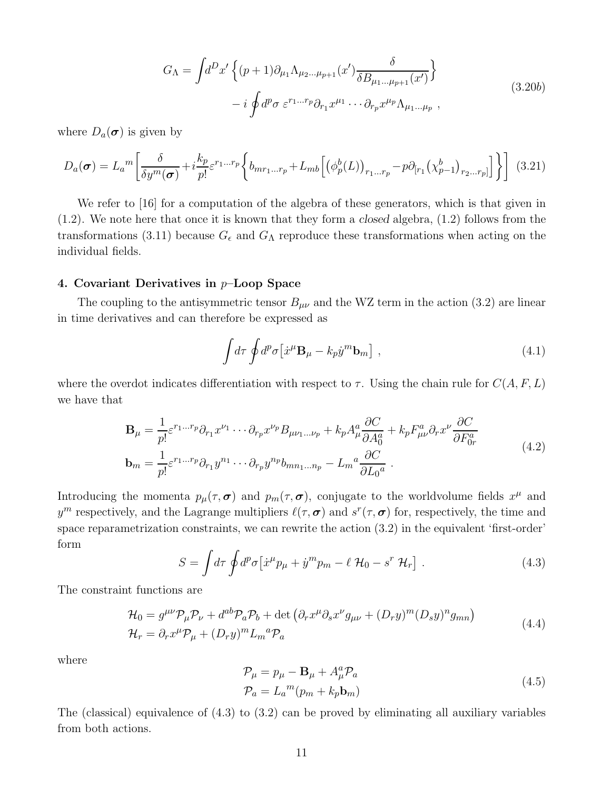$$
G_{\Lambda} = \int d^D x' \left\{ (p+1) \partial_{\mu_1} \Lambda_{\mu_2 \dots \mu_{p+1}}(x') \frac{\delta}{\delta B_{\mu_1 \dots \mu_{p+1}}(x')} \right\}
$$
  

$$
- i \oint d^p \sigma \ \varepsilon^{r_1 \dots r_p} \partial_{r_1} x^{\mu_1} \cdots \partial_{r_p} x^{\mu_p} \Lambda_{\mu_1 \dots \mu_p} ,
$$
 (3.20b)

where  $D_a(\boldsymbol{\sigma})$  is given by

$$
D_a(\boldsymbol{\sigma}) = L_a{}^m \left[ \frac{\delta}{\delta y^m(\boldsymbol{\sigma})} + i \frac{k_p}{p!} \varepsilon^{r_1...r_p} \left\{ b_{mr_1...r_p} + L_{mb} \left[ \left( \phi_p^b(L) \right)_{r_1...r_p} - p \partial_{[r_1} \left( \chi_{p-1}^b \right)_{r_2...r_p]} \right] \right\} \right] \tag{3.21}
$$

We refer to [16] for a computation of the algebra of these generators, which is that given in  $(1.2)$ . We note here that once it is known that they form a closed algebra,  $(1.2)$  follows from the transformations (3.11) because  $G_{\epsilon}$  and  $G_{\Lambda}$  reproduce these transformations when acting on the individual fields.

### 4. Covariant Derivatives in  $p$ -Loop Space

The coupling to the antisymmetric tensor  $B_{\mu\nu}$  and the WZ term in the action (3.2) are linear in time derivatives and can therefore be expressed as

$$
\int d\tau \oint d^p \sigma \left[ \dot{x}^\mu \mathbf{B}_\mu - k_p \dot{y}^m \mathbf{b}_m \right] , \qquad (4.1)
$$

where the overdot indicates differentiation with respect to  $\tau$ . Using the chain rule for  $C(A, F, L)$ we have that

$$
\mathbf{B}_{\mu} = \frac{1}{p!} \varepsilon^{r_1 \dots r_p} \partial_{r_1} x^{\nu_1} \cdots \partial_{r_p} x^{\nu_p} B_{\mu \nu_1 \dots \nu_p} + k_p A_{\mu}^a \frac{\partial C}{\partial A_0^a} + k_p F_{\mu \nu}^a \partial_r x^{\nu} \frac{\partial C}{\partial F_{0r}^a}
$$
\n
$$
\mathbf{b}_m = \frac{1}{p!} \varepsilon^{r_1 \dots r_p} \partial_{r_1} y^{n_1} \cdots \partial_{r_p} y^{n_p} b_{mn_1 \dots n_p} - L_m^a \frac{\partial C}{\partial L_0^a} \ .
$$
\n(4.2)

Introducing the momenta  $p_{\mu}(\tau, \sigma)$  and  $p_m(\tau, \sigma)$ , conjugate to the worldvolume fields  $x^{\mu}$  and  $y^m$  respectively, and the Lagrange multipliers  $\ell(\tau, \sigma)$  and  $s^r(\tau, \sigma)$  for, respectively, the time and space reparametrization constraints, we can rewrite the action (3.2) in the equivalent 'first-order' form

$$
S = \int d\tau \oint d^p \sigma \left[ \dot{x}^\mu p_\mu + \dot{y}^m p_m - \ell \mathcal{H}_0 - s^r \mathcal{H}_r \right] \,. \tag{4.3}
$$

The constraint functions are

$$
\mathcal{H}_0 = g^{\mu\nu} \mathcal{P}_{\mu} \mathcal{P}_{\nu} + d^{ab} \mathcal{P}_{a} \mathcal{P}_{b} + \det \left( \partial_r x^{\mu} \partial_s x^{\nu} g_{\mu\nu} + (D_r y)^m (D_s y)^n g_{mn} \right)
$$
\n
$$
\mathcal{H}_r = \partial_r x^{\mu} \mathcal{P}_{\mu} + (D_r y)^m L_m^a \mathcal{P}_a \tag{4.4}
$$

where

$$
\mathcal{P}_{\mu} = p_{\mu} - \mathbf{B}_{\mu} + A_{\mu}^{a} \mathcal{P}_{a}
$$
  
\n
$$
\mathcal{P}_{a} = L_{a}^{m} (p_{m} + k_{p} \mathbf{b}_{m})
$$
\n(4.5)

The (classical) equivalence of (4.3) to (3.2) can be proved by eliminating all auxiliary variables from both actions.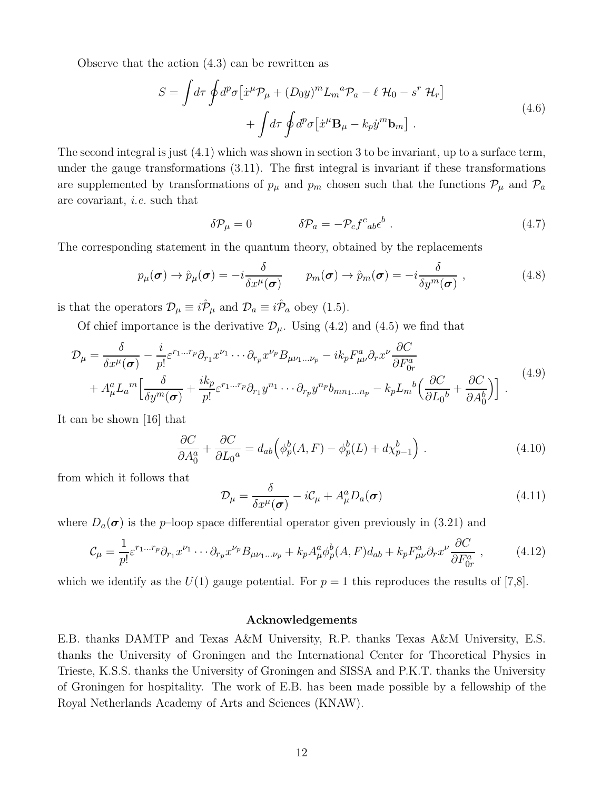Observe that the action (4.3) can be rewritten as

$$
S = \int d\tau \oint d^p \sigma \left[ \dot{x}^\mu \mathcal{P}_\mu + (D_0 y)^m L_m{}^a \mathcal{P}_a - \ell \mathcal{H}_0 - s^r \mathcal{H}_r \right] + \int d\tau \oint d^p \sigma \left[ \dot{x}^\mu \mathbf{B}_\mu - k_p \dot{y}^m \mathbf{b}_m \right].
$$
 (4.6)

The second integral is just (4.1) which was shown in section 3 to be invariant, up to a surface term, under the gauge transformations (3.11). The first integral is invariant if these transformations are supplemented by transformations of  $p_{\mu}$  and  $p_m$  chosen such that the functions  $\mathcal{P}_{\mu}$  and  $\mathcal{P}_{a}$ are covariant, i.e. such that

$$
\delta \mathcal{P}_{\mu} = 0 \qquad \qquad \delta \mathcal{P}_{a} = -\mathcal{P}_{c} f^{c}{}_{ab} \epsilon^{b} \ . \tag{4.7}
$$

The corresponding statement in the quantum theory, obtained by the replacements

$$
p_{\mu}(\boldsymbol{\sigma}) \to \hat{p}_{\mu}(\boldsymbol{\sigma}) = -i \frac{\delta}{\delta x^{\mu}(\boldsymbol{\sigma})} \qquad p_{m}(\boldsymbol{\sigma}) \to \hat{p}_{m}(\boldsymbol{\sigma}) = -i \frac{\delta}{\delta y^{m}(\boldsymbol{\sigma})}, \qquad (4.8)
$$

is that the operators  $\mathcal{D}_{\mu} \equiv i\hat{\mathcal{P}}_{\mu}$  and  $\mathcal{D}_{a} \equiv i\hat{\mathcal{P}}_{a}$  obey (1.5).

Of chief importance is the derivative  $\mathcal{D}_{\mu}$ . Using (4.2) and (4.5) we find that

$$
\mathcal{D}_{\mu} = \frac{\delta}{\delta x^{\mu}(\sigma)} - \frac{i}{p!} \varepsilon^{r_1...r_p} \partial_{r_1} x^{\nu_1} \cdots \partial_{r_p} x^{\nu_p} B_{\mu\nu_1...\nu_p} - ik_p F^{a}_{\mu\nu} \partial_r x^{\nu} \frac{\partial C}{\partial F^{a}_{0r}} + A^{a}_{\mu} L_a^{m} \Big[ \frac{\delta}{\delta y^m(\sigma)} + \frac{ik_p}{p!} \varepsilon^{r_1...r_p} \partial_{r_1} y^{n_1} \cdots \partial_{r_p} y^{n_p} b_{mn_1...n_p} - k_p L_m^{b} \Big( \frac{\partial C}{\partial L_0^{b}} + \frac{\partial C}{\partial A_0^{b}} \Big) \Big] .
$$
\n(4.9)

It can be shown [16] that

$$
\frac{\partial C}{\partial A_0^a} + \frac{\partial C}{\partial L_0^a} = d_{ab} \Big( \phi_p^b(A, F) - \phi_p^b(L) + d \chi_{p-1}^b \Big) \tag{4.10}
$$

from which it follows that

$$
\mathcal{D}_{\mu} = \frac{\delta}{\delta x^{\mu}(\boldsymbol{\sigma})} - i\mathcal{C}_{\mu} + A_{\mu}^{a} D_{a}(\boldsymbol{\sigma})
$$
\n(4.11)

where  $D_a(\sigma)$  is the p–loop space differential operator given previously in (3.21) and

$$
\mathcal{C}_{\mu} = \frac{1}{p!} \varepsilon^{r_1 \dots r_p} \partial_{r_1} x^{\nu_1} \dots \partial_{r_p} x^{\nu_p} B_{\mu \nu_1 \dots \nu_p} + k_p A^a_{\mu} \phi^b_p(A, F) d_{ab} + k_p F^a_{\mu \nu} \partial_r x^{\nu} \frac{\partial C}{\partial F^a_{0r}} \,, \tag{4.12}
$$

which we identify as the  $U(1)$  gauge potential. For  $p = 1$  this reproduces the results of [7,8].

### Acknowledgements

E.B. thanks DAMTP and Texas A&M University, R.P. thanks Texas A&M University, E.S. thanks the University of Groningen and the International Center for Theoretical Physics in Trieste, K.S.S. thanks the University of Groningen and SISSA and P.K.T. thanks the University of Groningen for hospitality. The work of E.B. has been made possible by a fellowship of the Royal Netherlands Academy of Arts and Sciences (KNAW).